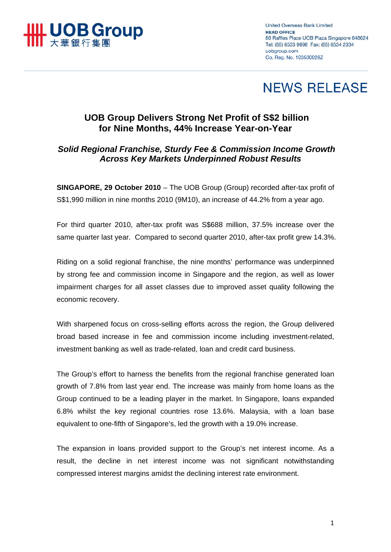

**United Overseas Bank Limited HEAD OFFICE** 80 Raffles Place UOB Plaza Singapore 048624 Tel: (65) 6533 9898 Fax: (65) 6534 2334 uobaroup.com Co. Reg. No. 193500026Z

# **NEWS RELEASE**

# **UOB Group Delivers Strong Net Profit of S\$2 billion for Nine Months, 44% Increase Year-on-Year**

# *Solid Regional Franchise, Sturdy Fee & Commission Income Growth Across Key Markets Underpinned Robust Results*

**SINGAPORE, 29 October 2010** – The UOB Group (Group) recorded after-tax profit of S\$1,990 million in nine months 2010 (9M10), an increase of 44.2% from a year ago.

For third quarter 2010, after-tax profit was S\$688 million, 37.5% increase over the same quarter last year. Compared to second quarter 2010, after-tax profit grew 14.3%.

Riding on a solid regional franchise, the nine months' performance was underpinned by strong fee and commission income in Singapore and the region, as well as lower impairment charges for all asset classes due to improved asset quality following the economic recovery.

With sharpened focus on cross-selling efforts across the region, the Group delivered broad based increase in fee and commission income including investment-related, investment banking as well as trade-related, loan and credit card business.

The Group's effort to harness the benefits from the regional franchise generated loan growth of 7.8% from last year end. The increase was mainly from home loans as the Group continued to be a leading player in the market. In Singapore, loans expanded 6.8% whilst the key regional countries rose 13.6%. Malaysia, with a loan base equivalent to one-fifth of Singapore's, led the growth with a 19.0% increase.

The expansion in loans provided support to the Group's net interest income. As a result, the decline in net interest income was not significant notwithstanding compressed interest margins amidst the declining interest rate environment.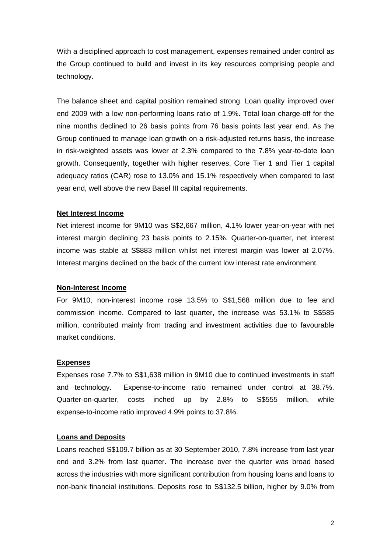With a disciplined approach to cost management, expenses remained under control as the Group continued to build and invest in its key resources comprising people and technology.

The balance sheet and capital position remained strong. Loan quality improved over end 2009 with a low non-performing loans ratio of 1.9%. Total loan charge-off for the nine months declined to 26 basis points from 76 basis points last year end. As the Group continued to manage loan growth on a risk-adjusted returns basis, the increase in risk-weighted assets was lower at 2.3% compared to the 7.8% year-to-date loan growth. Consequently, together with higher reserves, Core Tier 1 and Tier 1 capital adequacy ratios (CAR) rose to 13.0% and 15.1% respectively when compared to last year end, well above the new Basel III capital requirements.

## **Net Interest Income**

Net interest income for 9M10 was S\$2,667 million, 4.1% lower year-on-year with net interest margin declining 23 basis points to 2.15%. Quarter-on-quarter, net interest income was stable at S\$883 million whilst net interest margin was lower at 2.07%. Interest margins declined on the back of the current low interest rate environment.

#### **Non-Interest Income**

For 9M10, non-interest income rose 13.5% to S\$1,568 million due to fee and commission income. Compared to last quarter, the increase was 53.1% to S\$585 million, contributed mainly from trading and investment activities due to favourable market conditions.

#### **Expenses**

Expenses rose 7.7% to S\$1,638 million in 9M10 due to continued investments in staff and technology. Expense-to-income ratio remained under control at 38.7%. Quarter-on-quarter, costs inched up by 2.8% to S\$555 million, while expense-to-income ratio improved 4.9% points to 37.8%.

## **Loans and Deposits**

Loans reached S\$109.7 billion as at 30 September 2010, 7.8% increase from last year end and 3.2% from last quarter. The increase over the quarter was broad based across the industries with more significant contribution from housing loans and loans to non-bank financial institutions. Deposits rose to S\$132.5 billion, higher by 9.0% from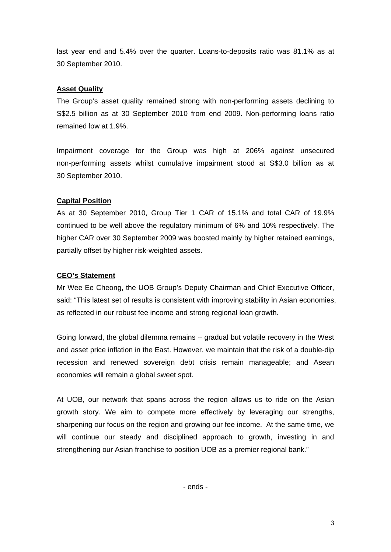last year end and 5.4% over the quarter. Loans-to-deposits ratio was 81.1% as at 30 September 2010.

## **Asset Quality**

The Group's asset quality remained strong with non-performing assets declining to S\$2.5 billion as at 30 September 2010 from end 2009. Non-performing loans ratio remained low at 1.9%.

Impairment coverage for the Group was high at 206% against unsecured non-performing assets whilst cumulative impairment stood at S\$3.0 billion as at 30 September 2010.

## **Capital Position**

As at 30 September 2010, Group Tier 1 CAR of 15.1% and total CAR of 19.9% continued to be well above the regulatory minimum of 6% and 10% respectively. The higher CAR over 30 September 2009 was boosted mainly by higher retained earnings, partially offset by higher risk-weighted assets.

## **CEO's Statement**

Mr Wee Ee Cheong, the UOB Group's Deputy Chairman and Chief Executive Officer, said: "This latest set of results is consistent with improving stability in Asian economies, as reflected in our robust fee income and strong regional loan growth.

Going forward, the global dilemma remains -- gradual but volatile recovery in the West and asset price inflation in the East. However, we maintain that the risk of a double-dip recession and renewed sovereign debt crisis remain manageable; and Asean economies will remain a global sweet spot.

At UOB, our network that spans across the region allows us to ride on the Asian growth story. We aim to compete more effectively by leveraging our strengths, sharpening our focus on the region and growing our fee income. At the same time, we will continue our steady and disciplined approach to growth, investing in and strengthening our Asian franchise to position UOB as a premier regional bank."

- ends -